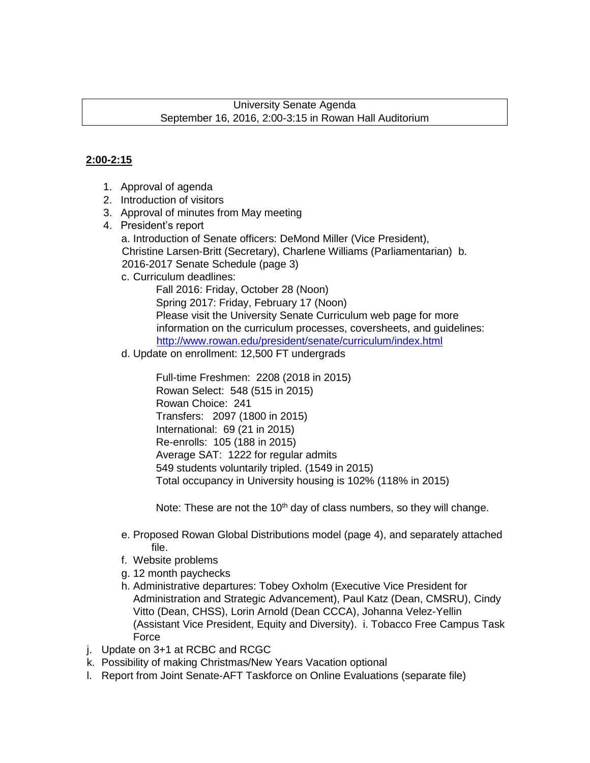### University Senate Agenda September 16, 2016, 2:00-3:15 in Rowan Hall Auditorium

### **2:00-2:15**

- 1. Approval of agenda
- 2. Introduction of visitors
- 3. Approval of minutes from May meeting
- 4. President's report

a. Introduction of Senate officers: DeMond Miller (Vice President), Christine Larsen-Britt (Secretary), Charlene Williams (Parliamentarian) b. 2016-2017 Senate Schedule (page 3)

c. Curriculum deadlines:

Fall 2016: Friday, October 28 (Noon) Spring 2017: Friday, February 17 (Noon) Please visit the University Senate Curriculum web page for more information on the curriculum processes, coversheets, and guidelines: http://www.rowan.edu/president/senate/curriculum/index.html

d. Update on enrollment: 12,500 FT undergrads

Full-time Freshmen: 2208 (2018 in 2015) Rowan Select: 548 (515 in 2015) Rowan Choice: 241 Transfers: 2097 (1800 in 2015) International: 69 (21 in 2015) Re-enrolls: 105 (188 in 2015) Average SAT: 1222 for regular admits 549 students voluntarily tripled. (1549 in 2015) Total occupancy in University housing is 102% (118% in 2015)

Note: These are not the  $10<sup>th</sup>$  day of class numbers, so they will change.

- e. Proposed Rowan Global Distributions model (page 4), and separately attached file.
- f. Website problems
- g. 12 month paychecks
- h. Administrative departures: Tobey Oxholm (Executive Vice President for Administration and Strategic Advancement), Paul Katz (Dean, CMSRU), Cindy Vitto (Dean, CHSS), Lorin Arnold (Dean CCCA), Johanna Velez-Yellin (Assistant Vice President, Equity and Diversity). i. Tobacco Free Campus Task Force
- j. Update on 3+1 at RCBC and RCGC
- k. Possibility of making Christmas/New Years Vacation optional
- l. Report from Joint Senate-AFT Taskforce on Online Evaluations (separate file)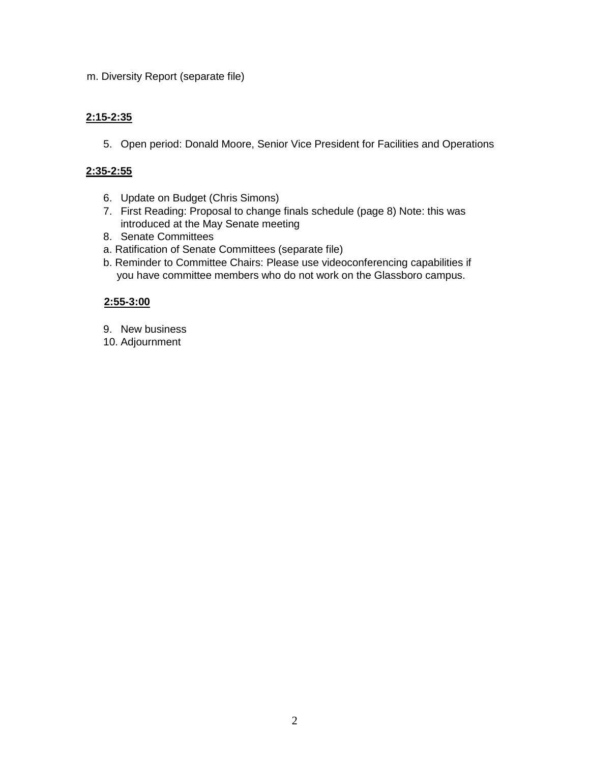m. Diversity Report (separate file)

### **2:15-2:35**

5. Open period: Donald Moore, Senior Vice President for Facilities and Operations

### **2:35-2:55**

- 6. Update on Budget (Chris Simons)
- 7. First Reading: Proposal to change finals schedule (page 8) Note: this was introduced at the May Senate meeting
- 8. Senate Committees
- a. Ratification of Senate Committees (separate file)
- b. Reminder to Committee Chairs: Please use videoconferencing capabilities if you have committee members who do not work on the Glassboro campus.

### **2:55-3:00**

- 9. New business
- 10. Adjournment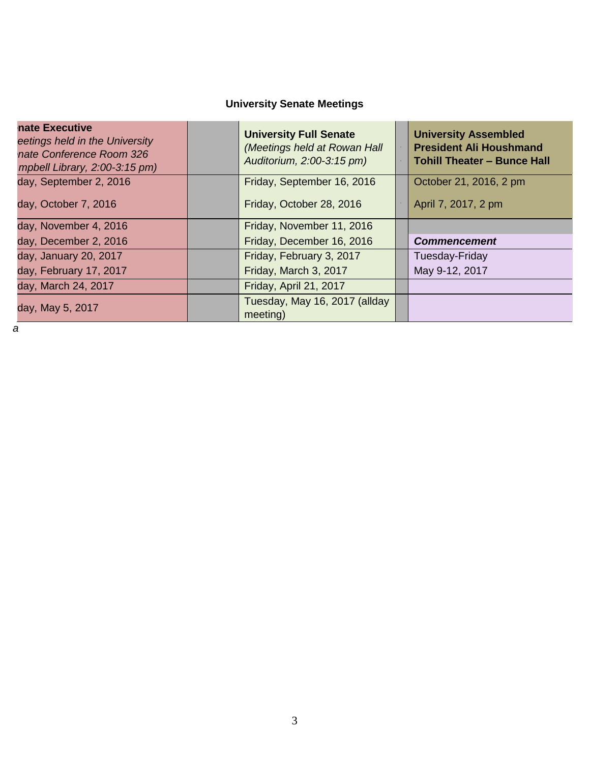# **University Senate Meetings**

| nate Executive<br>eetings held in the University<br>nate Conference Room 326<br>mpbell Library, 2:00-3:15 pm) | <b>University Full Senate</b><br>(Meetings held at Rowan Hall<br>Auditorium, 2:00-3:15 pm) | <b>University Assembled</b><br><b>President Ali Houshmand</b><br><b>Tohill Theater - Bunce Hall</b> |
|---------------------------------------------------------------------------------------------------------------|--------------------------------------------------------------------------------------------|-----------------------------------------------------------------------------------------------------|
| day, September 2, 2016                                                                                        | Friday, September 16, 2016                                                                 | October 21, 2016, 2 pm                                                                              |
| day, October 7, 2016                                                                                          | Friday, October 28, 2016                                                                   | April 7, 2017, 2 pm                                                                                 |
| day, November 4, 2016                                                                                         | Friday, November 11, 2016                                                                  |                                                                                                     |
| day, December 2, 2016                                                                                         | Friday, December 16, 2016                                                                  | <b>Commencement</b>                                                                                 |
| day, January 20, 2017                                                                                         | Friday, February 3, 2017                                                                   | Tuesday-Friday                                                                                      |
| day, February 17, 2017                                                                                        | Friday, March 3, 2017                                                                      | May 9-12, 2017                                                                                      |
| day, March 24, 2017                                                                                           | Friday, April 21, 2017                                                                     |                                                                                                     |
| day, May 5, 2017                                                                                              | Tuesday, May 16, 2017 (allday<br>meeting)                                                  |                                                                                                     |

*a*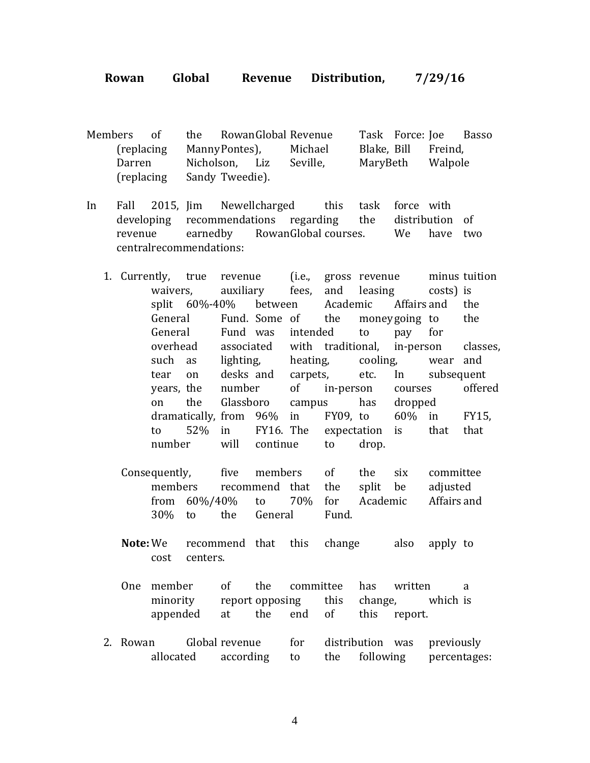**Rowan Global Revenue Distribution, 7/29/16**

Members of the RowanGlobal Revenue Task Force: Joe Basso (replacing MannyPontes), Michael Blake, Bill Freind, Darren Nicholson, Liz Seville, MaryBeth Walpole (replacing Sandy Tweedie).

- In Fall 2015, Jim Newellcharged this task force with developing recommendations regarding the distribution of revenue earnedby RowanGlobal courses. We have two centralrecommendations:
	- 1. Currently, true revenue (i.e., gross revenue minus tuition waivers, auxiliary fees, and leasing costs) is split 60%-40% between Academic Affairs and the General Fund. Some of the moneygoing to the General Fund was intended to pay for overhead associated with traditional, in-person classes, such as lighting, heating, cooling, wear and tear on desks and carpets, etc. In subsequent years, the number of in-person courses offered on the Glassboro campus has dropped dramatically, from 96% in FY09, to 60% in FY15, to 52% in FY16. The expectation is that that number will continue to drop.
		- Consequently, five members of the six committee members recommend that the split be adjusted from 60%/40% to 70% for Academic Affairs and 30% to the General Fund.
		- **Note:** We recommend that this change also apply to cost centers.
		- One member of the committee has written a minority report opposing this change, which is appended at the end of this report.
	- 2. Rowan Global revenue for distribution was previously allocated according to the following percentages: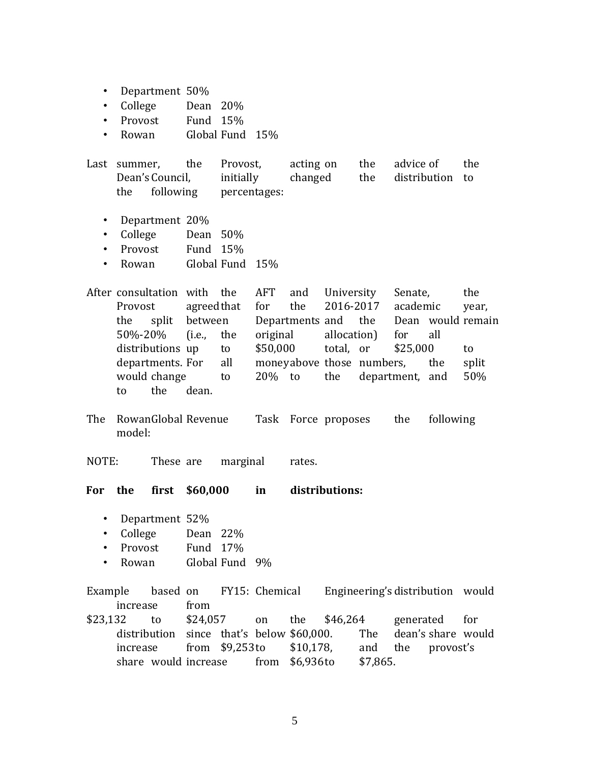- Department 50%
- College Dean 20%
- Provost Fund 15%
- Rowan Global Fund 15%

Last summer, the Provost, acting on the advice of the Dean's Council, initially changed the distribution to the following percentages:

- Department 20%
- College Dean 50%
- Provost Fund 15%
- Rowan Global Fund 15%

After consultation with the AFT and University Senate, the Provost agreedthat for the 2016-2017 academic year, the split between Departments and the Dean would remain 50%-20% (i.e., the original allocation) for all distributions up to \$50,000 total, or \$25,000 to departments. For all moneyabove those numbers, the split would change to 20% to the department, and 50% to the dean.

The RowanGlobal Revenue Task Force proposes the following model:

NOTE: These are marginal rates.

**For the first \$60,000 in distributions:**

- Department 52%
- College Dean 22%
- Provost Fund 17%
- Rowan Global Fund 9%

Example based on FY15: Chemical Engineering's distribution would increase from

\$23,132 to \$24,057 on the \$46,264 generated for distribution since that's below \$60,000. The dean's share would increase from \$9,253to \$10,178, and the provost's share would increase from \$6,936to \$7,865.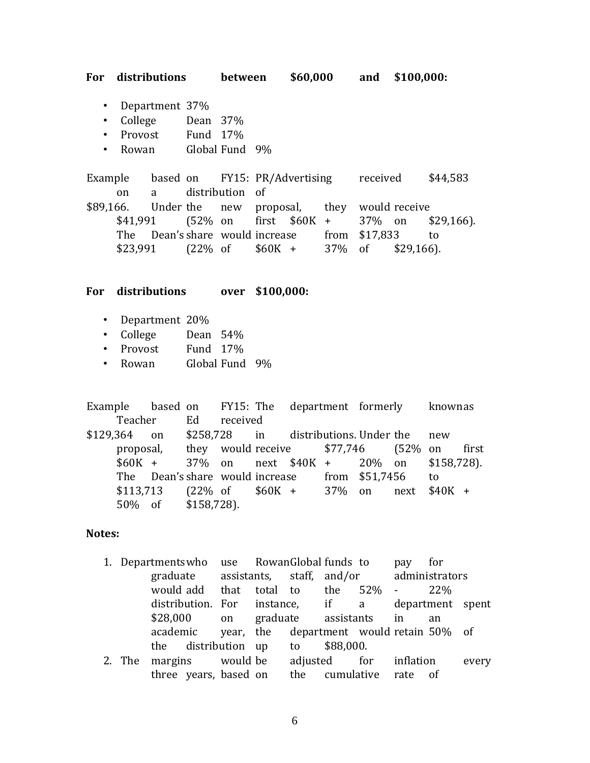**For distributions between \$60,000 and \$100,000:**

- Department 37%
- College Dean 37%
- Provost Fund 17%
- Rowan Global Fund 9%

Example based on FY15: PR/Advertising received \$44,583 on a distribution of \$89,166. Under the new proposal, they would receive \$41,991 (52% on first \$60K + 37% on \$29,166). The Dean's share would increase from \$17,833 to  $$23,991$  (22\% of \$60K + 37\% of \$29,166).

### **For distributions over \$100,000:**

- Department 20%
- College Dean 54%
- Provost Fund 17%
- Rowan Global Fund 9%

Example based on FY15: The department formerly knownas Teacher Ed received \$129,364 on \$258,728 in distributions. Under the new proposal, they would receive \$77,746 (52% on first \$60K + 37% on next \$40K + 20% on \$158,728). The Dean's share would increase from \$51,7456 to \$113,713 (22% of \$60K + 37% on next \$40K + 50% of \$158,728).

### **Notes:**

- 1. Departmentswho use RowanGlobal funds to pay for graduate assistants, staff, and/or administrators would add that total to the 52% - 22% distribution. For instance, if a department spent \$28,000 on graduate assistants in an academic year, the department would retain 50% of the distribution up to \$88,000.
- 2. The margins would be adjusted for inflation every three years, based on the cumulative rate of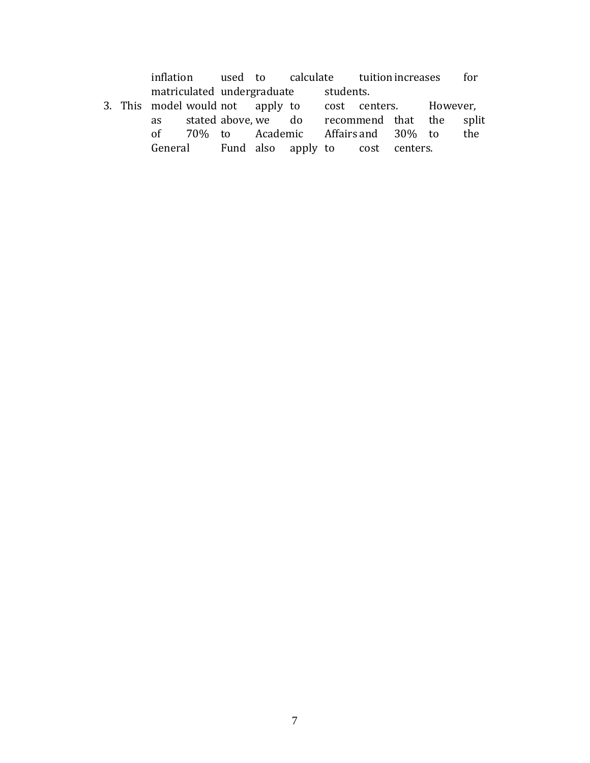inflation used to calculate tuitionincreases for matriculated undergraduate students.

3. This model would not apply to cost centers. However,<br>as stated above, we do recommend that the spli as stated above, we do recommend that the split of 70% to Academic Affairs and 30% to the General Fund also apply to cost centers.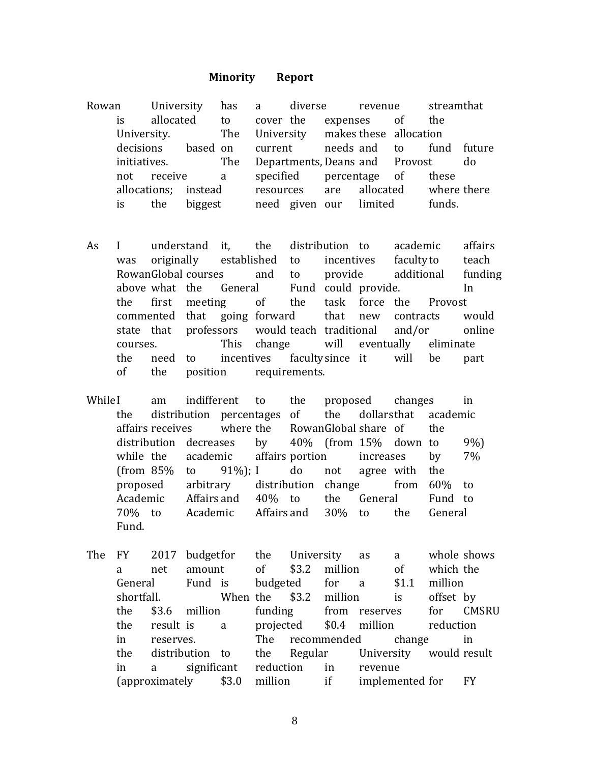#### **Minority Report**

Rowan University has a diverse revenue streamthat is allocated to cover the expenses of the University. The University makes these allocation decisions based on current needs and to fund future initiatives. The Departments, Deans and Provost do not receive a specified percentage of these allocations; instead resources are allocated where there is the biggest need given our limited funds.

- As I understand it, the distribution to academic affairs was originally established to incentives facultyto teach RowanGlobal courses and to provide additional funding above what the General Fund could provide. In the first meeting of the task force the Provost commented that going forward that new contracts would state that professors would teach traditional and/or online courses. This change will eventually eliminate the need to incentives facultysince it will be part of the position requirements.
- WhileI am indifferent to the proposed changes in the distribution percentages of the dollarsthat academic affairs receives where the RowanGlobal share of the distribution decreases by 40% (from 15% down to 9%) while the academic affairs portion increases by 7% (from  $85\%$  to  $91\%$ ); I do not agree with the proposed arbitrary distribution change from 60% to Academic Affairs and 40% to the General Fund to 70% to Academic Affairs and 30% to the General Fund.
- The FY 2017 budgetfor the University as a whole shows a net amount of \$3.2 million of which the General Fund is budgeted for a \$1.1 million shortfall. When the \$3.2 million is offset by the \$3.6 million funding from reserves for CMSRU the result is a projected \$0.4 million reduction in reserves. The recommended change in the distribution to the Regular University would result in a significant reduction in revenue (approximately \$3.0 million if implemented for FY

8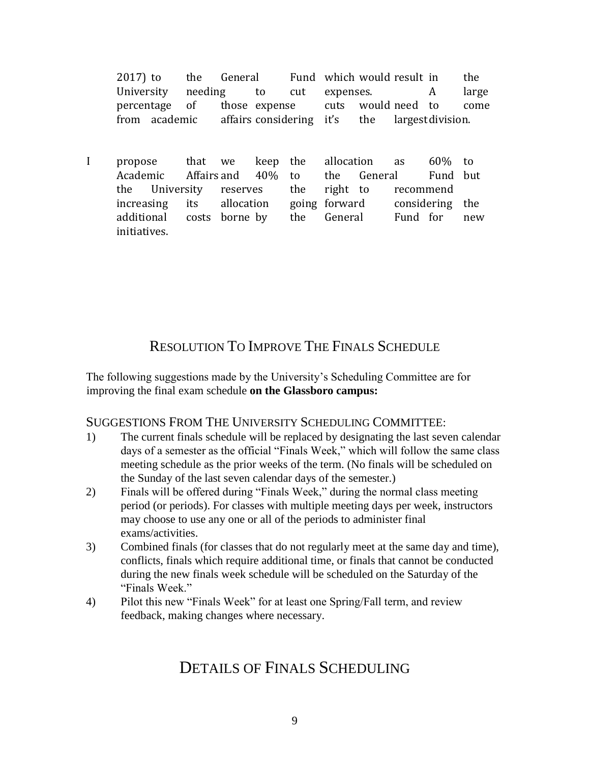2017) to the General Fund which would result in the University needing to cut expenses. A large percentage of those expense cuts would need to come from academic affairs considering it's the largestdivision.

I propose that we keep the allocation as 60% to Academic Affairs and 40% to the General Fund but the University reserves the right to recommend increasing its allocation going forward considering the additional costs borne by the General Fund for new initiatives.

# RESOLUTION TO IMPROVE THE FINALS SCHEDULE

The following suggestions made by the University's Scheduling Committee are for improving the final exam schedule **on the Glassboro campus:** 

### SUGGESTIONS FROM THE UNIVERSITY SCHEDULING COMMITTEE:

- 1) The current finals schedule will be replaced by designating the last seven calendar days of a semester as the official "Finals Week," which will follow the same class meeting schedule as the prior weeks of the term. (No finals will be scheduled on the Sunday of the last seven calendar days of the semester.)
- 2) Finals will be offered during "Finals Week," during the normal class meeting period (or periods). For classes with multiple meeting days per week, instructors may choose to use any one or all of the periods to administer final exams/activities.
- 3) Combined finals (for classes that do not regularly meet at the same day and time), conflicts, finals which require additional time, or finals that cannot be conducted during the new finals week schedule will be scheduled on the Saturday of the "Finals Week"
- 4) Pilot this new "Finals Week" for at least one Spring/Fall term, and review feedback, making changes where necessary.

# DETAILS OF FINALS SCHEDULING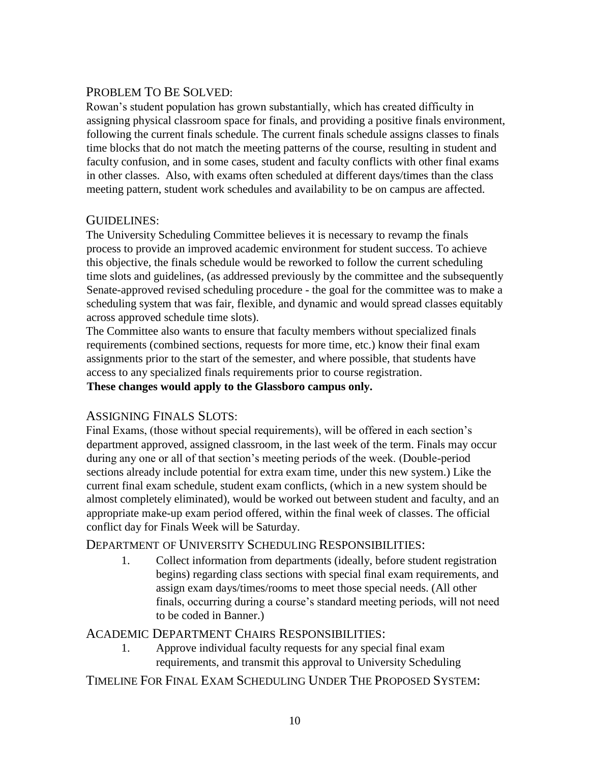## PROBLEM TO BE SOLVED:

Rowan's student population has grown substantially, which has created difficulty in assigning physical classroom space for finals, and providing a positive finals environment, following the current finals schedule. The current finals schedule assigns classes to finals time blocks that do not match the meeting patterns of the course, resulting in student and faculty confusion, and in some cases, student and faculty conflicts with other final exams in other classes. Also, with exams often scheduled at different days/times than the class meeting pattern, student work schedules and availability to be on campus are affected.

## GUIDELINES:

The University Scheduling Committee believes it is necessary to revamp the finals process to provide an improved academic environment for student success. To achieve this objective, the finals schedule would be reworked to follow the current scheduling time slots and guidelines, (as addressed previously by the committee and the subsequently Senate-approved revised scheduling procedure - the goal for the committee was to make a scheduling system that was fair, flexible, and dynamic and would spread classes equitably across approved schedule time slots).

The Committee also wants to ensure that faculty members without specialized finals requirements (combined sections, requests for more time, etc.) know their final exam assignments prior to the start of the semester, and where possible, that students have access to any specialized finals requirements prior to course registration. **These changes would apply to the Glassboro campus only.** 

## ASSIGNING FINALS SLOTS:

Final Exams, (those without special requirements), will be offered in each section's department approved, assigned classroom, in the last week of the term. Finals may occur during any one or all of that section's meeting periods of the week. (Double-period sections already include potential for extra exam time, under this new system.) Like the current final exam schedule, student exam conflicts, (which in a new system should be almost completely eliminated), would be worked out between student and faculty, and an appropriate make-up exam period offered, within the final week of classes. The official conflict day for Finals Week will be Saturday.

## DEPARTMENT OF UNIVERSITY SCHEDULING RESPONSIBILITIES:

1. Collect information from departments (ideally, before student registration begins) regarding class sections with special final exam requirements, and assign exam days/times/rooms to meet those special needs. (All other finals, occurring during a course's standard meeting periods, will not need to be coded in Banner.)

## ACADEMIC DEPARTMENT CHAIRS RESPONSIBILITIES:

1. Approve individual faculty requests for any special final exam requirements, and transmit this approval to University Scheduling

## TIMELINE FOR FINAL EXAM SCHEDULING UNDER THE PROPOSED SYSTEM: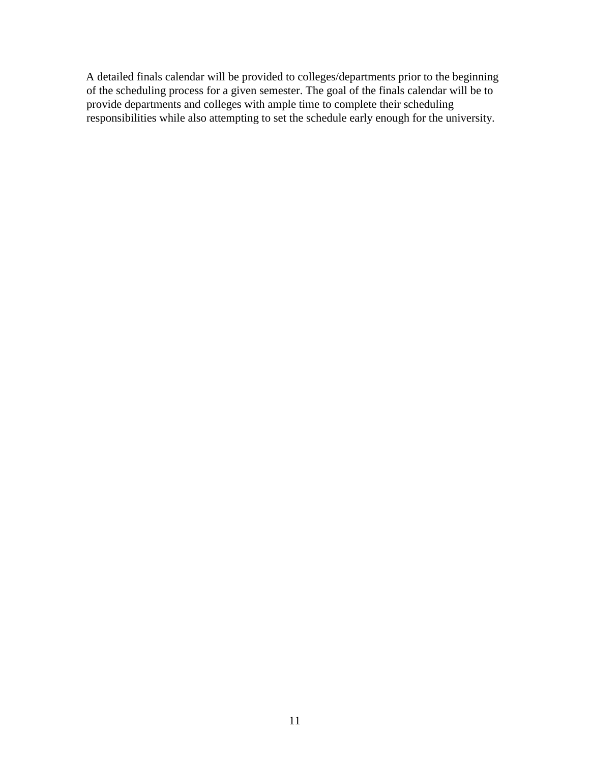A detailed finals calendar will be provided to colleges/departments prior to the beginning of the scheduling process for a given semester. The goal of the finals calendar will be to provide departments and colleges with ample time to complete their scheduling responsibilities while also attempting to set the schedule early enough for the university.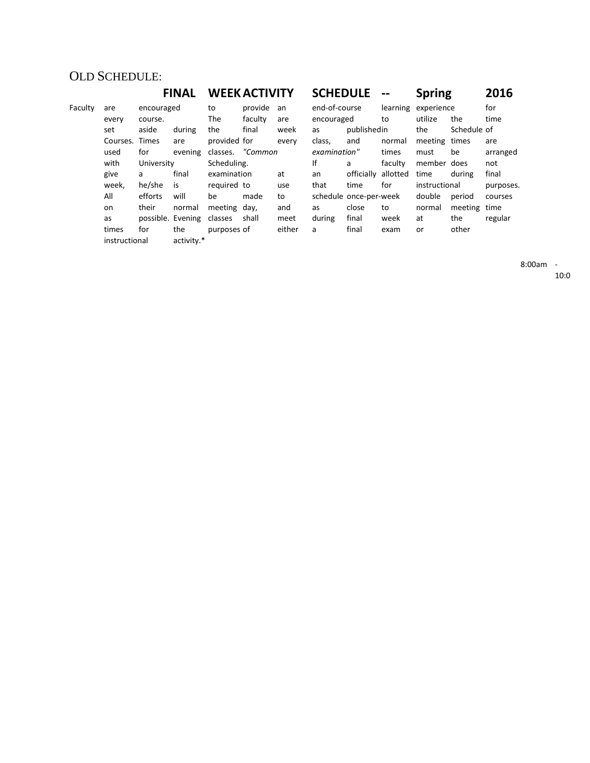## OLD SCHEDULE:

### **FINAL WEEKACTIVITY SCHEDULE -- Spring 2016** Faculty are encouraged to provide an end-of-course learning experience for

| 500 | ິ              | succurancu |                           | $\tilde{}$       | p. o a c |        | CHU VI CUUIJC |                        |         | <b>CHACIL CITY</b> |              | .         |
|-----|----------------|------------|---------------------------|------------------|----------|--------|---------------|------------------------|---------|--------------------|--------------|-----------|
|     | every          | course.    |                           | The              | faculty  | are    | encouraged    |                        | to      | utilize            | the          | time      |
|     | set            | aside      | during                    | the              | final    | week   | as            | publishedin            |         | the                | Schedule of  |           |
|     | Courses. Times |            | are                       | provided for     |          | every  | class,        | and                    | normal  | meeting times      |              | are       |
|     | used           | for        | evening                   | classes. "Common |          |        | examination"  |                        | times   | must               | be           | arranged  |
|     | with           | University |                           | Scheduling.      |          |        | lf            | a                      | faculty | member does        |              | not       |
|     | give           | a          | final                     | examination      |          | at     | an            | officially allotted    |         | time               | during       | final     |
|     | week,          | he/she     | is                        | required to      |          | use    | that          | time                   | for     | instructional      |              | purposes. |
|     | All            | efforts    | will                      | be               | made     | to     |               | schedule once-per-week |         | double             | period       | courses   |
|     | on             | their      | normal                    | meeting day,     |          | and    | as            | close                  | to      | normal             | meeting time |           |
|     | as             |            | possible. Evening classes |                  | shall    | meet   | during        | final                  | week    | at                 | the          | regular   |
|     | times          | for        | the                       | purposes of      |          | either | a             | final                  | exam    | or                 | other        |           |
|     | instructional  |            | activity.*                |                  |          |        |               |                        |         |                    |              |           |
|     |                |            |                           |                  |          |        |               |                        |         |                    |              |           |

8:00am -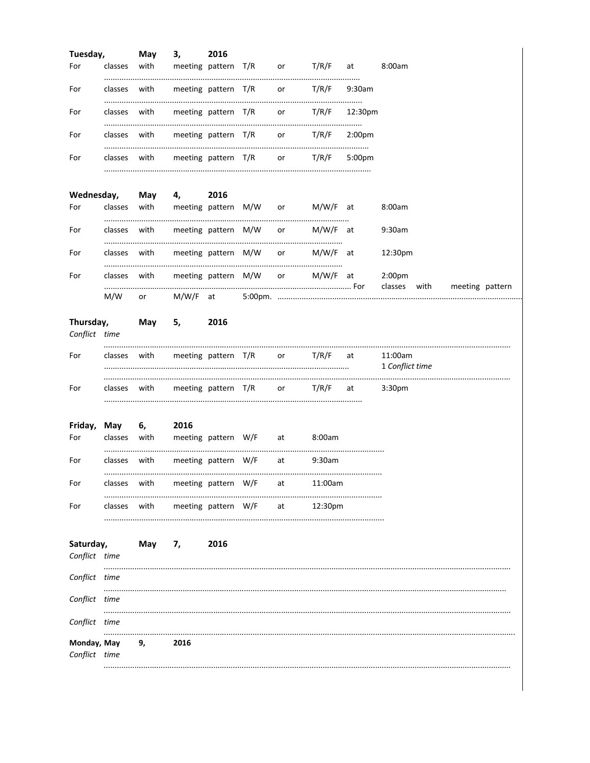| Tuesday,                     |              | May                     | 3, 2016                                              |                     |    |         |                    |                            |  |                              |
|------------------------------|--------------|-------------------------|------------------------------------------------------|---------------------|----|---------|--------------------|----------------------------|--|------------------------------|
| For                          | classes with |                         | meeting pattern T/R or T/R/F at                      |                     |    |         |                    | 8:00am                     |  |                              |
| For                          |              |                         | classes with meeting pattern $T/R$ or $T/R/F$ 9:30am |                     |    |         |                    |                            |  |                              |
| For                          |              |                         | classes with meeting pattern T/R or T/R/F 12:30pm    |                     |    |         |                    |                            |  |                              |
| For                          |              |                         | classes with meeting pattern T/R or T/R/F 2:00pm     |                     |    |         |                    |                            |  |                              |
| For                          |              |                         | classes with meeting pattern T/R or T/R/F            |                     |    |         | 5:00 <sub>pm</sub> |                            |  |                              |
| Wednesday,                   |              |                         | May 4, 2016                                          |                     |    |         |                    |                            |  |                              |
| For                          |              |                         | classes with meeting pattern M/W or M/W/F at         |                     |    |         |                    | 8:00am                     |  |                              |
| For                          |              |                         | classes with meeting pattern M/W or M/W/F at         |                     |    |         |                    | 9:30am                     |  |                              |
| For                          |              |                         | classes with meeting pattern M/W or M/W/F at         |                     |    |         |                    | 12:30pm                    |  |                              |
| For                          |              |                         | classes with meeting pattern M/W or M/W/F at         |                     |    |         |                    | 2:00 <sub>pm</sub>         |  | classes with meeting pattern |
|                              | M/W          | $or$ and $\overline{a}$ |                                                      |                     |    |         |                    |                            |  |                              |
| Thursday,<br>Conflict time   |              | <b>May</b>              | 5,                                                   | 2016                |    |         |                    |                            |  |                              |
| For                          |              |                         | classes with meeting pattern T/R or T/R/F at         |                     |    |         |                    | 11:00am<br>1 Conflict time |  |                              |
| For                          |              |                         | classes with meeting pattern $T/R$ or $T/R/F$ at     |                     |    |         |                    | 3:30 <sub>pm</sub>         |  |                              |
| For                          |              | Friday, May 6, 2016     | classes with meeting pattern W/F at 8:00am           |                     |    |         |                    |                            |  |                              |
| For                          |              |                         | classes with meeting pattern W/F at                  |                     |    | 9:30am  |                    |                            |  |                              |
| For                          | classes      | with                    |                                                      | meeting pattern W/F | at | 11:00am |                    |                            |  |                              |
| For                          | classes      | with                    |                                                      | meeting pattern W/F | at | 12:30pm |                    |                            |  |                              |
| Saturday,<br>Conflict time   |              | May                     | 7,                                                   | 2016                |    |         |                    |                            |  |                              |
| Conflict time                |              |                         |                                                      |                     |    |         |                    |                            |  |                              |
| Conflict time                |              |                         |                                                      |                     |    |         |                    |                            |  |                              |
| Conflict time                |              |                         |                                                      |                     |    |         |                    |                            |  |                              |
| Monday, May<br>Conflict time |              | 9,                      | 2016                                                 |                     |    |         |                    |                            |  |                              |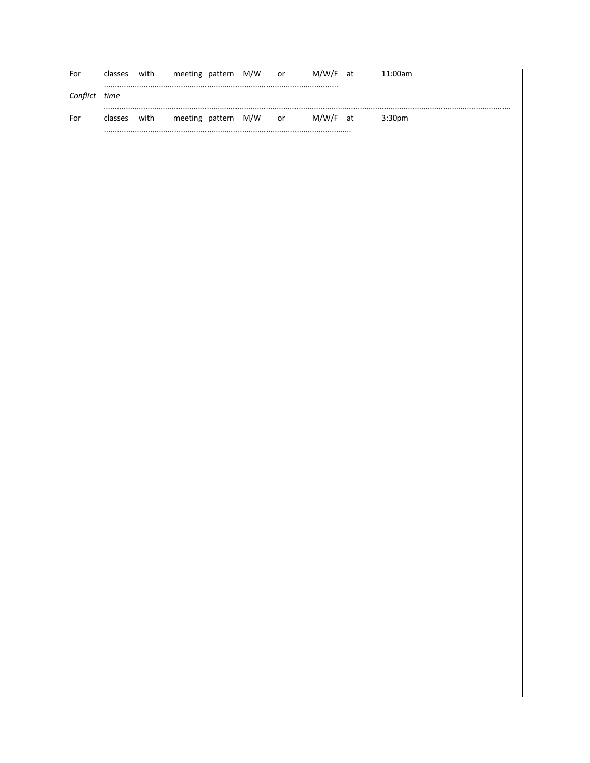| For      | classes | with | meeting pattern M/W |  | .or | M/W/F at | 11:00am            |
|----------|---------|------|---------------------|--|-----|----------|--------------------|
| Conflict | time    |      |                     |  |     |          |                    |
| For      | classes | with | meeting pattern M/W |  | or  | M/W/F at | 3:30 <sub>pm</sub> |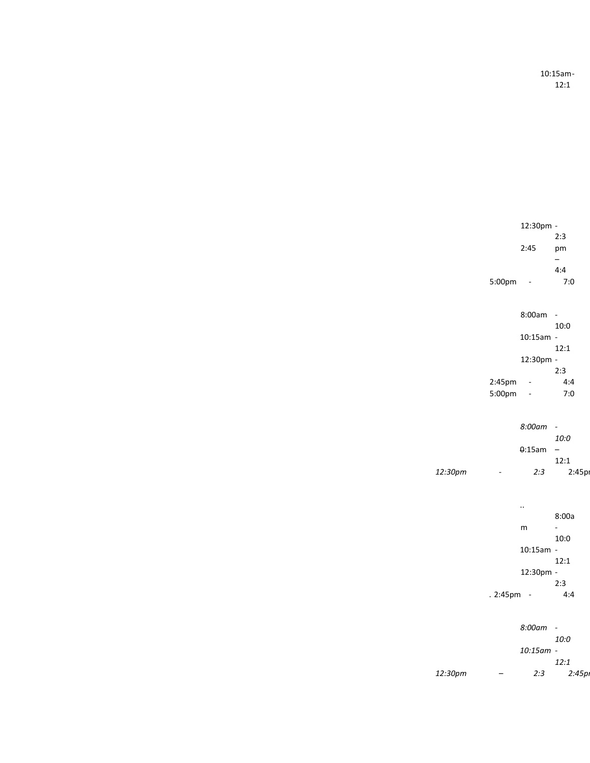10:15am-12:1

|         |                          | 12:30pm -            |                          |
|---------|--------------------------|----------------------|--------------------------|
|         |                          | 2:45                 | 2:3<br>pm                |
|         |                          |                      | —                        |
|         |                          |                      | 4:4                      |
|         | 5:00pm                   |                      | 7:0                      |
|         |                          |                      |                          |
|         |                          | 8:00am               | $\blacksquare$           |
|         |                          |                      | 10:0                     |
|         |                          | $10:15am -$          |                          |
|         |                          |                      | 12:1                     |
|         |                          | 12:30pm -            |                          |
|         | 2:45pm                   | ÷,                   | 2:3<br>4:4               |
|         | 5:00pm                   | ÷                    | 7:0                      |
|         |                          |                      |                          |
|         |                          |                      |                          |
|         |                          | 8:00am               | $\overline{\phantom{a}}$ |
|         |                          | 0:15am               | 10:0<br>-                |
|         |                          |                      | 12:1                     |
| 12:30pm | $\overline{\phantom{a}}$ | 2:3                  | 2:45pi                   |
|         |                          |                      |                          |
|         |                          |                      |                          |
|         |                          | $\ddot{\phantom{0}}$ | 8:00a                    |
|         |                          | m                    | L,                       |
|         |                          |                      | 10:0                     |
|         |                          | $10:15am -$          |                          |
|         |                          |                      | 12:1                     |
|         |                          | 12:30pm -            | 2:3                      |
|         | . 2:45pm                 | $\sim$ $-$           | 4:4                      |
|         |                          |                      |                          |
|         |                          |                      |                          |
|         |                          | 8:00am               | $\overline{\phantom{a}}$ |
|         |                          | 10:15am -            | 10:0                     |
|         |                          |                      |                          |
|         |                          |                      | 12:1                     |
| 12:30pm |                          | 2:3                  | 2:45p                    |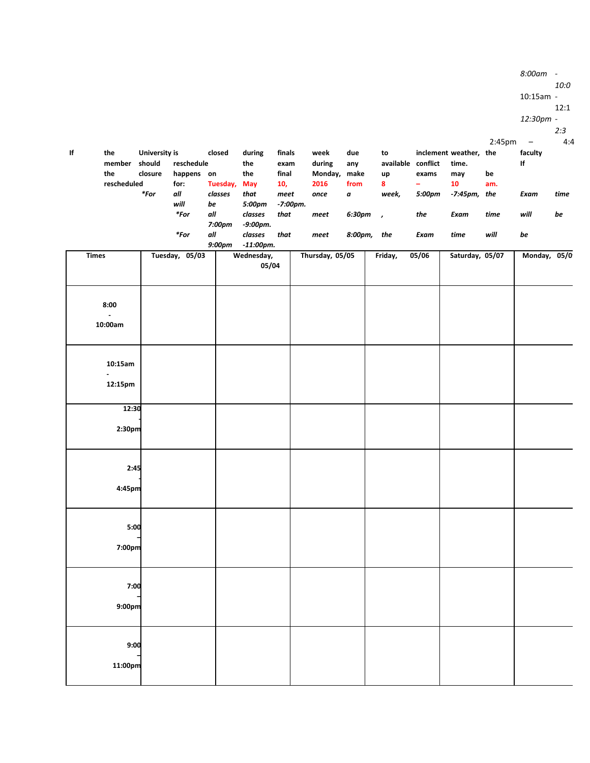|    |                |                      |                |               |                        |          |                 |             |         |                    |                        |        | $10:15am -$  |      |
|----|----------------|----------------------|----------------|---------------|------------------------|----------|-----------------|-------------|---------|--------------------|------------------------|--------|--------------|------|
|    |                |                      |                |               |                        |          |                 |             |         |                    |                        |        |              | 12:1 |
|    |                |                      |                |               |                        |          |                 |             |         |                    |                        |        | 12:30pm -    |      |
|    |                |                      |                |               |                        |          |                 |             |         |                    |                        |        |              | 2:3  |
|    |                |                      |                |               |                        |          |                 |             |         |                    |                        | 2:45pm | $\sim$ $-$   | 4:4  |
| lf | the            | <b>University is</b> |                | closed        | during                 | finals   | week            | due         | to      |                    | inclement weather, the |        | faculty      |      |
|    | member         | should               | reschedule     |               | the                    | exam     | during          | any         |         | available conflict | time.                  |        | If           |      |
|    | the            | closure              | happens on     |               | the                    | final    | Monday, make    |             | up      | exams              | may                    | be     |              |      |
|    | rescheduled    |                      | for:           | Tuesday,      | May                    | 10,      | 2016            | from        | 8       | $\equiv$           | 10                     | am.    |              |      |
|    |                | $*$ For              | all            | classes       | that                   | meet     | once            | $\pmb{a}$   | week,   | 5:00pm             | $-7:45$ pm, the        |        | Exam         | time |
|    |                |                      | will           | be            | 5:00pm                 | -7:00pm. |                 |             |         |                    |                        |        |              |      |
|    |                |                      | $*$ For        | all           | classes<br>$-9:00$ pm. | that     | meet            | $6:30pm$ ,  |         | the                | Exam                   | time   | will         | be   |
|    |                |                      | $*$ For        | 7:00pm<br>all | classes                | that     |                 | 8:00pm, the |         | Exam               | time                   | will   | be           |      |
|    |                |                      |                | 9:00pm        | $-11:00$ pm.           |          | meet            |             |         |                    |                        |        |              |      |
|    | <b>Times</b>   |                      | Tuesday, 05/03 |               | Wednesday,             |          | Thursday, 05/05 |             | Friday, | 05/06              | Saturday, 05/07        |        | Monday, 05/0 |      |
|    |                |                      |                |               | 05/04                  |          |                 |             |         |                    |                        |        |              |      |
|    |                |                      |                |               |                        |          |                 |             |         |                    |                        |        |              |      |
|    |                |                      |                |               |                        |          |                 |             |         |                    |                        |        |              |      |
|    |                |                      |                |               |                        |          |                 |             |         |                    |                        |        |              |      |
|    | 8:00           |                      |                |               |                        |          |                 |             |         |                    |                        |        |              |      |
|    | $\sim$         |                      |                |               |                        |          |                 |             |         |                    |                        |        |              |      |
|    | 10:00am        |                      |                |               |                        |          |                 |             |         |                    |                        |        |              |      |
|    |                |                      |                |               |                        |          |                 |             |         |                    |                        |        |              |      |
|    |                |                      |                |               |                        |          |                 |             |         |                    |                        |        |              |      |
|    | 10:15am        |                      |                |               |                        |          |                 |             |         |                    |                        |        |              |      |
|    | $\blacksquare$ |                      |                |               |                        |          |                 |             |         |                    |                        |        |              |      |
|    | 12:15pm        |                      |                |               |                        |          |                 |             |         |                    |                        |        |              |      |
|    |                |                      |                |               |                        |          |                 |             |         |                    |                        |        |              |      |
|    | 12:30          |                      |                |               |                        |          |                 |             |         |                    |                        |        |              |      |
|    |                |                      |                |               |                        |          |                 |             |         |                    |                        |        |              |      |
|    | 2:30pm         |                      |                |               |                        |          |                 |             |         |                    |                        |        |              |      |
|    |                |                      |                |               |                        |          |                 |             |         |                    |                        |        |              |      |
|    |                |                      |                |               |                        |          |                 |             |         |                    |                        |        |              |      |
|    |                |                      |                |               |                        |          |                 |             |         |                    |                        |        |              |      |
|    | 2:45           |                      |                |               |                        |          |                 |             |         |                    |                        |        |              |      |
|    | 4:45pm         |                      |                |               |                        |          |                 |             |         |                    |                        |        |              |      |
|    |                |                      |                |               |                        |          |                 |             |         |                    |                        |        |              |      |
|    |                |                      |                |               |                        |          |                 |             |         |                    |                        |        |              |      |
|    |                |                      |                |               |                        |          |                 |             |         |                    |                        |        |              |      |
|    | 5:00           |                      |                |               |                        |          |                 |             |         |                    |                        |        |              |      |
|    |                |                      |                |               |                        |          |                 |             |         |                    |                        |        |              |      |
|    | 7:00pm         |                      |                |               |                        |          |                 |             |         |                    |                        |        |              |      |
|    |                |                      |                |               |                        |          |                 |             |         |                    |                        |        |              |      |
|    |                |                      |                |               |                        |          |                 |             |         |                    |                        |        |              |      |
|    | 7:00           |                      |                |               |                        |          |                 |             |         |                    |                        |        |              |      |
|    |                |                      |                |               |                        |          |                 |             |         |                    |                        |        |              |      |
|    | 9:00pm         |                      |                |               |                        |          |                 |             |         |                    |                        |        |              |      |
|    |                |                      |                |               |                        |          |                 |             |         |                    |                        |        |              |      |
|    |                |                      |                |               |                        |          |                 |             |         |                    |                        |        |              |      |
|    | 9:00           |                      |                |               |                        |          |                 |             |         |                    |                        |        |              |      |
|    |                |                      |                |               |                        |          |                 |             |         |                    |                        |        |              |      |
|    | 11:00pm        |                      |                |               |                        |          |                 |             |         |                    |                        |        |              |      |
|    |                |                      |                |               |                        |          |                 |             |         |                    |                        |        |              |      |

*8:00am -*

*10:0*